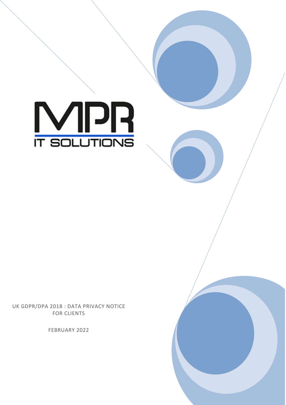

UK GDPR/DPA 2018 : DATA PRIVACY NOTICE FOR CLIENTS

FEBRUARY 2022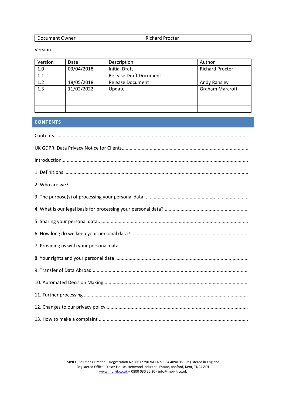| Document Owner | - -<br><b>Richard Procter</b> |
|----------------|-------------------------------|
|----------------|-------------------------------|

Version

| Version | Date       | Description                   | Author                 |
|---------|------------|-------------------------------|------------------------|
| 1.0     | 03/04/2018 | <b>Initial Draft</b>          | <b>Richard Procter</b> |
| 1.1     |            | <b>Release Draft Document</b> |                        |
| 1.2     | 18/05/2018 | <b>Release Document</b>       | Andy Ransley           |
| 1.3     | 11/02/2022 | Update                        | <b>Graham Marcroft</b> |
|         |            |                               |                        |
|         |            |                               |                        |
|         |            |                               |                        |

# **CONTENTS**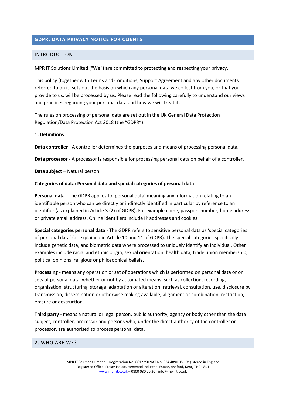# **GDPR: DATA PRIVACY NOTICE FOR CLIENTS**

#### INTRODUCTION

MPR IT Solutions Limited ("We") are committed to protecting and respecting your privacy.

This policy (together with Terms and Conditions, Support Agreement and any other documents referred to on it) sets out the basis on which any personal data we collect from you, or that you provide to us, will be processed by us. Please read the following carefully to understand our views and practices regarding your personal data and how we will treat it.

The rules on processing of personal data are set out in the UK General Data Protection Regulation/Data Protection Act 2018 (the "GDPR").

#### **1. Definitions**

**Data controller** - A controller determines the purposes and means of processing personal data.

**Data processor** - A processor is responsible for processing personal data on behalf of a controller.

**Data subject** – Natural person

#### **Categories of data: Personal data and special categories of personal data**

**Personal data** - The GDPR applies to 'personal data' meaning any information relating to an identifiable person who can be directly or indirectly identified in particular by reference to an identifier (as explained in Article 3 (2) of GDPR). For example name, passport number, home address or private email address. Online identifiers include IP addresses and cookies.

**Special categories personal data** - The GDPR refers to sensitive personal data as 'special categories of personal data' (as explained in Article 10 and 11 of GDPR). The special categories specifically include genetic data, and biometric data where processed to uniquely identify an individual. Other examples include racial and ethnic origin, sexual orientation, health data, trade union membership, political opinions, religious or philosophical beliefs.

**Processing** - means any operation or set of operations which is performed on personal data or on sets of personal data, whether or not by automated means, such as collection, recording, organisation, structuring, storage, adaptation or alteration, retrieval, consultation, use, disclosure by transmission, dissemination or otherwise making available, alignment or combination, restriction, erasure or destruction.

**Third party** - means a natural or legal person, public authority, agency or body other than the data subject, controller, processor and persons who, under the direct authority of the controller or processor, are authorised to process personal data.

#### 2. WHO ARE WE?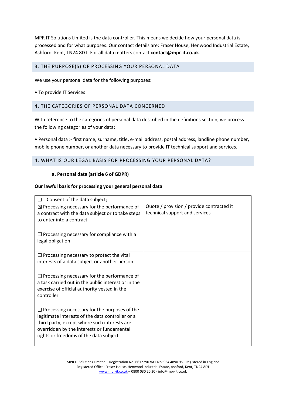MPR IT Solutions Limited is the data controller. This means we decide how your personal data is processed and for what purposes. Our contact details are: Fraser House, Henwood Industrial Estate, Ashford, Kent, TN24 8DT. For all data matters contact **contact@mpr-it.co.uk**.

# 3. THE PURPOSE(S) OF PROCESSING YOUR PERSONAL DATA

We use your personal data for the following purposes:

• To provide IT Services

## 4. THE CATEGORIES OF PERSONAL DATA CONCERNED

With reference to the categories of personal data described in the definitions section, we process the following categories of your data:

• Personal data :- first name, surname, title, e-mail address, postal address, landline phone number, mobile phone number, or another data necessary to provide IT technical support and services.

## 4. WHAT IS OUR LEGAL BASIS FOR PROCESSING YOUR PERSONAL DATA?

#### **a. Personal data (article 6 of GDPR)**

### **Our lawful basis for processing your general personal data**:

| Consent of the data subject;<br>l 1                                                                                                                                                                                                             |                                                                             |
|-------------------------------------------------------------------------------------------------------------------------------------------------------------------------------------------------------------------------------------------------|-----------------------------------------------------------------------------|
| $\boxtimes$ Processing necessary for the performance of<br>a contract with the data subject or to take steps<br>to enter into a contract                                                                                                        | Quote / provision / provide contracted it<br>technical support and services |
| $\Box$ Processing necessary for compliance with a<br>legal obligation                                                                                                                                                                           |                                                                             |
| $\Box$ Processing necessary to protect the vital<br>interests of a data subject or another person                                                                                                                                               |                                                                             |
| $\Box$ Processing necessary for the performance of<br>a task carried out in the public interest or in the<br>exercise of official authority vested in the<br>controller                                                                         |                                                                             |
| $\Box$ Processing necessary for the purposes of the<br>legitimate interests of the data controller or a<br>third party, except where such interests are<br>overridden by the interests or fundamental<br>rights or freedoms of the data subject |                                                                             |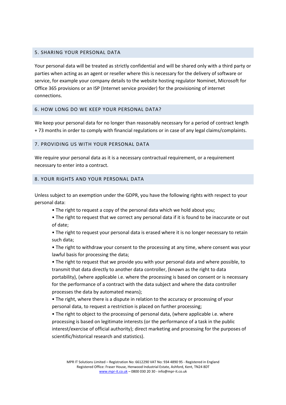# 5. SHARING YOUR PERSONAL DATA

Your personal data will be treated as strictly confidential and will be shared only with a third party or parties when acting as an agent or reseller where this is necessary for the delivery of software or service, for example your company details to the website hosting regulator Nominet, Microsoft for Office 365 provisions or an ISP (Internet service provider) for the provisioning of internet connections.

## 6. HOW LONG DO WE KEEP YOUR PERSONAL DATA?

We keep your personal data for no longer than reasonably necessary for a period of contract length + 73 months in order to comply with financial regulations or in case of any legal claims/complaints.

## 7. PROVIDING US WITH YOUR PERSONAL DATA

We require your personal data as it is a necessary contractual requirement, or a requirement necessary to enter into a contract.

## 8. YOUR RIGHTS AND YOUR PERSONAL DATA

Unless subject to an exemption under the GDPR, you have the following rights with respect to your personal data:

- The right to request a copy of the personal data which we hold about you;
- The right to request that we correct any personal data if it is found to be inaccurate or out of date;
- The right to request your personal data is erased where it is no longer necessary to retain such data;

• The right to withdraw your consent to the processing at any time, where consent was your lawful basis for processing the data;

• The right to request that we provide you with your personal data and where possible, to transmit that data directly to another data controller, (known as the right to data portability), (where applicable i.e. where the processing is based on consent or is necessary for the performance of a contract with the data subject and where the data controller processes the data by automated means);

• The right, where there is a dispute in relation to the accuracy or processing of your personal data, to request a restriction is placed on further processing;

• The right to object to the processing of personal data, (where applicable i.e. where processing is based on legitimate interests (or the performance of a task in the public interest/exercise of official authority); direct marketing and processing for the purposes of scientific/historical research and statistics).